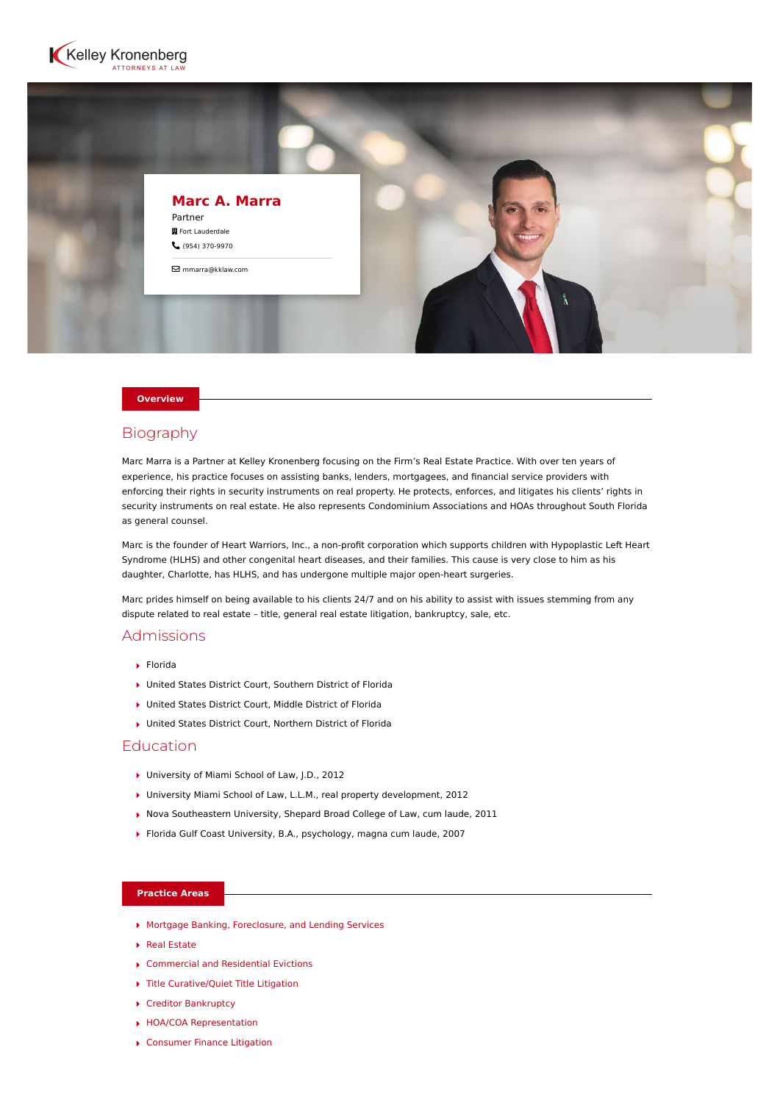



### **Overview**

# Biography

Marc Marra is a Partner at Kelley Kronenberg focusing on the Firm's Real Estate Practice. With over ten years of experience, his practice focuses on assisting banks, lenders, mortgagees, and financial service providers with enforcing their rights in security instruments on real property. He protects, enforces, and litigates his clients' rights in security instruments on real estate. He also represents Condominium Associations and HOAs throughout South Florida as general counsel.

Marc is the founder of Heart Warriors, Inc., a non-profit corporation which supports children with Hypoplastic Left Heart Syndrome (HLHS) and other congenital heart diseases, and their families. This cause is very close to him as his daughter, Charlotte, has HLHS, and has undergone multiple major open-heart surgeries.

Marc prides himself on being available to his clients 24/7 and on his ability to assist with issues stemming from any dispute related to real estate – title, general real estate litigation, bankruptcy, sale, etc.

# Admissions

- Florida
- United States District Court, Southern District of Florida
- United States District Court, Middle District of Florida
- United States District Court, Northern District of Florida

## Education

- ▶ University of Miami School of Law, J.D., 2012
- University Miami School of Law, L.L.M., real property development, 2012
- ▶ Nova Southeastern University, Shepard Broad College of Law, cum laude, 2011
- Florida Gulf Coast University, B.A., psychology, magna cum laude, 2007

## **Practice Areas**

- [Mortgage Banking, Foreclosure, and Lending Services](https://www.kelleykronenberg.com/our-practices/mortgage-banking-and-lending-services/)
- ▶ [Real Estate](https://www.kelleykronenberg.com/our-practices/real-estate/)
- ▶ [Commercial and Residential Evictions](https://www.kelleykronenberg.com/our-practices/real-estate/commercial-and-residential-evictions/)
- ▶ [Title Curative/Quiet Title Litigation](https://www.kelleykronenberg.com/our-practices/real-estate/title-curative-quiet-title-litigation/)
- ▶ [Creditor Bankruptcy](https://www.kelleykronenberg.com/our-practices/real-estate/creditor-bankruptcy/)
- [HOA/COA Representation](https://www.kelleykronenberg.com/our-practices/real-estate/hoa-coa-representation/)
- [Consumer Finance Litigation](https://www.kelleykronenberg.com/our-practices/real-estate/consumer-finance-litigation/)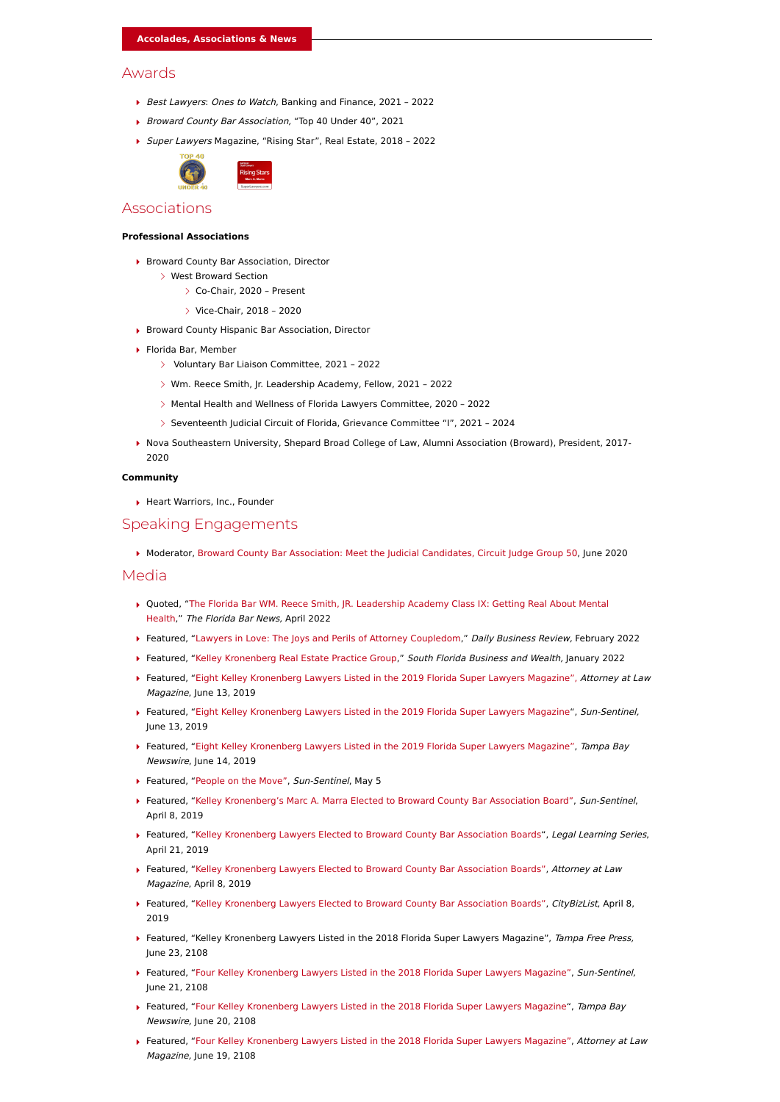### Awards

- Best Lawyers: Ones to Watch, Banking and Finance, 2021 2022
- ▶ Broward County Bar Association, "Top 40 Under 40", 2021
- ▶ Super Lawyers Magazine, "Rising Star", Real Estate, 2018 2022



# Associations

#### **Professional Associations**

- ▶ Broward County Bar Association, Director
	- West Broward Section
		- Co-Chair, 2020 Present
		- Vice-Chair, 2018 2020
- ▶ Broward County Hispanic Bar Association, Director
- Florida Bar, Member
	- Voluntary Bar Liaison Committee, 2021 2022
	- Wm. Reece Smith, Jr. Leadership Academy, Fellow, 2021 2022
	- Mental Health and Wellness of Florida Lawyers Committee, 2020 2022
	- Seventeenth Judicial Circuit of Florida, Grievance Committee "I", 2021 2024
- Nova Southeastern University, Shepard Broad College of Law, Alumni Association (Broward), President, 2017- 2020

### **Community**

Heart Warriors, Inc., Founder

### Speaking Engagements

Moderator, [Broward County Bar Association: Meet the Judicial Candidates, Circuit Judge Group 50,](https://www.browardbar.org/meet-the-candidates/judicial-election/) June 2020

#### Media

- [Quoted, "The Florida Bar WM. Reece Smith, JR. Leadership Academy Class IX: Getting Real About Mental](https://www.floridabar.org/the-florida-bar-news/the-florida-bar-wm-reece-smith-jr-leadership-academy-class-ix-getting-real-about-mental-health/) Health," The Florida Bar News, April 2022
- Featured, ["Lawyers in Love: The Joys and Perils of Attorney Coupledom,](https://www.law.com/dailybusinessreview/2022/02/14/lawyers-in-love-the-joys-and-perils-of-attorney-coupledom/?kw=Lawyers%20in%20Love:%20The%20Joys%20and%20Perils%20of%20Attorney%20Coupledom%20?%20Daily%20Business%20Review)" Daily Business Review, February 2022
- ▶ Featured, ["Kelley Kronenberg Real Estate Practice Group](https://go.epublish4me.com/ebook/html/10107259?mc_cid=eb2a04881f&mc_eid=fa62c52f07#page/24)," South Florida Business and Wealth, January 2022
- **▶ Featured, ["Eight Kelley Kronenberg Lawyers Listed in the 2019 Florida Super Lawyers Magazine",](http://southflorida.citybizlist.com/article/554906/eight-kelley-kronenberg-lawyers-listed-in-the-2019-florida-super-lawyers-magazine)** *Attorney at Law* Magazine, June 13, 2019
- ▶ Featured, ["Eight Kelley Kronenberg Lawyers Listed in the 2019 Florida Super Lawyers Magazine](https://www.sun-sentinel.com/business/jobs/sfl-people-on-the-move-ugc-photogallery.html)", Sun-Sentinel, June 13, 2019
- ▶ Featured, ["Eight Kelley Kronenberg Lawyers Listed in the 2019 Florida Super Lawyers Magazine",](https://www.tampabaynewswire.com/2019/06/14/eight-kelley-kronenberg-lawyers-listed-in-the-2019-florida-super-lawyers-magazine-78287) *Tampa Bay* Newswire, June 14, 2019
- ▶ Featured, ["People on the Move"](https://www.sun-sentinel.com/business/jobs/sofla-ugc-photo-kelley-kronenbergs-louis-reinstein-elected-t-2019-04-22-photo.html), Sun-Sentinel, May 5
- ▶ Featured, ["Kelley Kronenberg's Marc A. Marra Elected to Broward County Bar Association Board",](https://www.sun-sentinel.com/business/jobs/sofla-ugc-photo-kelley-kronenbergs-kyle-s-roberts-elected-t-2019-04-22-photo.html) Sun-Sentinel, April 8, 2019
- **Featured, ["Kelley Kronenberg Lawyers Elected to Broward County Bar Association Boards](https://attorneyatlawmagazine.com/kelley-kronenberg-lawyers-broward-county-bar-association-board)",** *Legal Learning Series***,** April 21, 2019
- Featured, ["Kelley Kronenberg Lawyers Elected to Broward County Bar Association Boards",](https://attorneyatlawmagazine.com/kelley-kronenberg-lawyers-broward-county-bar-association-board) Attorney at Law Magazine, April 8, 2019
- ▶ Featured, ["Kelley Kronenberg Lawyers Elected to Broward County Bar Association Boards",](https://southflorida.citybizlist.com/article/541783/kelley-kronenberg-lawyers-elected-to-broward-county-bar-association-boards) CityBizList, April 8, 2019
- ▶ Featured, "Kelley Kronenberg Lawyers Listed in the 2018 Florida Super Lawyers Magazine", Tampa Free Press, June 23, 2108
- ▶ Featured, ["Four Kelley Kronenberg Lawyers Listed in the 2018 Florida Super Lawyers Magazine"](http://www.sun-sentinel.com/business/careers/sofla-ugc-photo-four-kelley-kronenberg-lawyers-listed-in-the-2018-06-20-photo.html), Sun-Sentinel, June 21, 2108
- **Featured, ["Four Kelley Kronenberg Lawyers Listed in the 2018 Florida Super Lawyers Magazine"](https://www.tampabaynewswire.com/2018/06/20/four-kelley-kronenberg-lawyers-listed-in-the-2018-florida-super-lawyers-magazine-68852), Tampa Bay** Newswire, June 20, 2108
- ▶ Featured, ["Four Kelley Kronenberg Lawyers Listed in the 2018 Florida Super Lawyers Magazine"](http://www.attorneyatlawmagazine.com/palm-beach/four-kelley-kronenberg-lawyers-listed-in-the-2018-florida-super-lawyers-magazine/), Attorney at Law Magazine, June 19, 2108